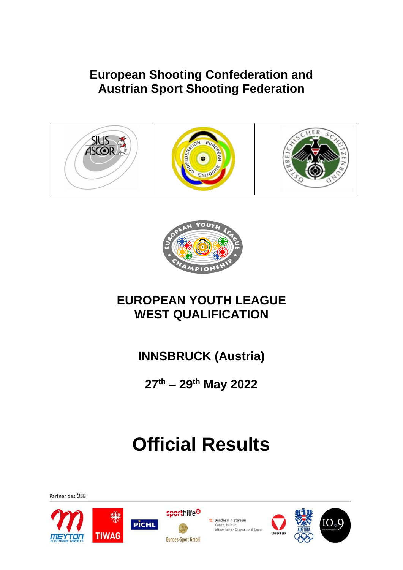### **European Shooting Confederation and Austrian Sport Shooting Federation**





### **EUROPEAN YOUTH LEAGUE WEST QUALIFICATION**

**INNSBRUCK (Austria)**

**27th – 29th May 2022**

## **Official Results**





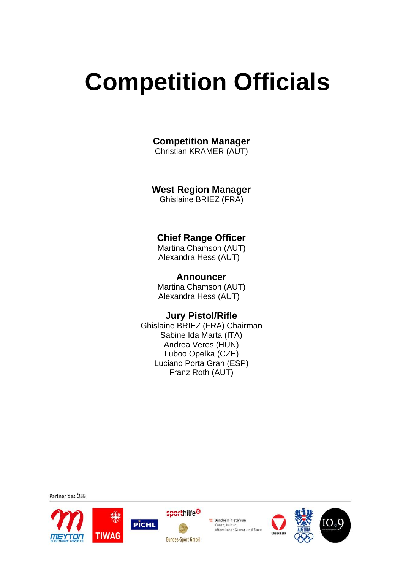# **Competition Officials**

**Competition Manager**

Christian KRAMER (AUT)

#### **West Region Manager**

Ghislaine BRIEZ (FRA)

### **Chief Range Officer**

Martina Chamson (AUT) Alexandra Hess (AUT)

#### **Announcer**

Martina Chamson (AUT) Alexandra Hess (AUT)

#### **Jury Pistol/Rifle**

Ghislaine BRIEZ (FRA) Chairman Sabine Ida Marta (ITA) Andrea Veres (HUN) Luboo Opelka (CZE) Luciano Porta Gran (ESP) Franz Roth (AUT)









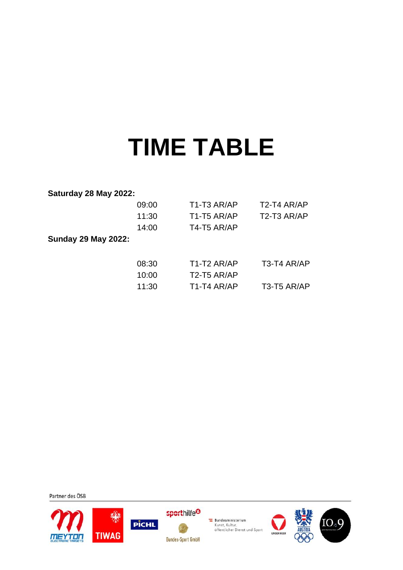## **TIME TABLE**

#### **Saturday 28 May 2022:**

|                            | 09:00 | T <sub>1</sub> -T <sub>3</sub> AR/AP | T <sub>2</sub> -T <sub>4</sub> AR/AP |
|----------------------------|-------|--------------------------------------|--------------------------------------|
|                            | 11:30 | T <sub>1</sub> -T <sub>5</sub> AR/AP | T <sub>2</sub> -T <sub>3</sub> AR/AP |
|                            | 14:00 | T4-T5 AR/AP                          |                                      |
| <b>Sunday 29 May 2022:</b> |       |                                      |                                      |
|                            | 08:30 | T <sub>1</sub> -T <sub>2</sub> AR/AP | T3-T4 AR/AP                          |
|                            | 10:00 | T2-T5 AR/AP                          |                                      |
|                            | 11:30 | T <sub>1</sub> -T <sub>4</sub> AR/AP | T <sub>3</sub> -T <sub>5</sub> AR/AP |







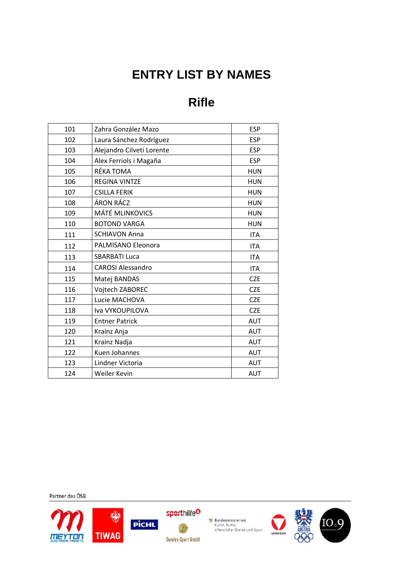## **ENTRY LIST BY NAMES**

## **Rifle**

| 101 | Zahra González Mazo       | <b>ESP</b> |
|-----|---------------------------|------------|
| 102 | Laura Sánchez Rodríguez   | <b>ESP</b> |
| 103 | Alejandro Cilveti Lorente | <b>ESP</b> |
| 104 | Alex Ferriols i Magaña    | <b>ESP</b> |
| 105 | RÉKA TOMA                 | <b>HUN</b> |
| 106 | <b>REGINA VINTZE</b>      | <b>HUN</b> |
| 107 | <b>CSILLA FERIK</b>       | <b>HUN</b> |
| 108 | ÁRON RÁCZ                 | <b>HUN</b> |
| 109 | <b>MÁTÉ MLINKOVICS</b>    | <b>HUN</b> |
| 110 | <b>BOTOND VARGA</b>       | <b>HUN</b> |
| 111 | <b>SCHIAVON Anna</b>      | <b>ITA</b> |
| 112 | PALMISANO Eleonora        | <b>ITA</b> |
| 113 | <b>SBARBATI Luca</b>      | <b>ITA</b> |
| 114 | <b>CAROSI Alessandro</b>  | <b>ITA</b> |
| 115 | Matej BANDAS              | <b>CZE</b> |
| 116 | Vojtech ZABOREC           | <b>CZE</b> |
| 117 | Lucie MACHOVA             | <b>CZE</b> |
| 118 | Iva VYKOUPILOVA           | <b>CZE</b> |
| 119 | <b>Entner Patrick</b>     | <b>AUT</b> |
| 120 | Krainz Anja               | <b>AUT</b> |
| 121 | Krainz Nadja              | <b>AUT</b> |
| 122 | Kuen Johannes             | <b>AUT</b> |
| 123 | Lindner Victoria          | <b>AUT</b> |
| 124 | Weiler Kevin              | <b>AUT</b> |









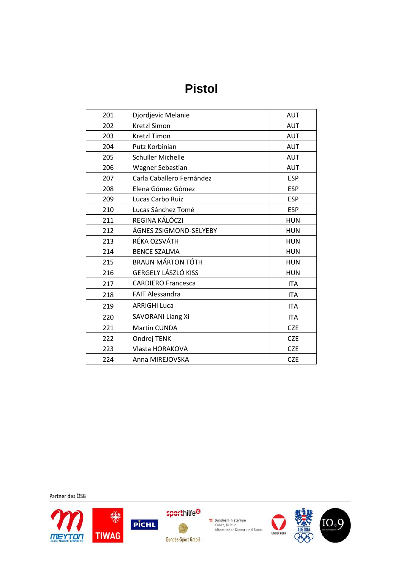## **Pistol**

| 201 | Djordjevic Melanie        | <b>AUT</b> |
|-----|---------------------------|------------|
| 202 | <b>Kretzl Simon</b>       | <b>AUT</b> |
| 203 | <b>Kretzl Timon</b>       | <b>AUT</b> |
| 204 | Putz Korbinian            | <b>AUT</b> |
| 205 | <b>Schuller Michelle</b>  | <b>AUT</b> |
| 206 | Wagner Sebastian          | <b>AUT</b> |
| 207 | Carla Caballero Fernández | <b>ESP</b> |
| 208 | Elena Gómez Gómez         | <b>ESP</b> |
| 209 | Lucas Carbo Ruiz          | <b>ESP</b> |
| 210 | Lucas Sánchez Tomé        | <b>ESP</b> |
| 211 | REGINA KÁLÓCZI            | <b>HUN</b> |
| 212 | ÁGNES ZSIGMOND-SELYEBY    | <b>HUN</b> |
| 213 | RÉKA OZSVÁTH              | <b>HUN</b> |
| 214 | <b>BENCE SZALMA</b>       | <b>HUN</b> |
| 215 | <b>BRAUN MÁRTON TÓTH</b>  | <b>HUN</b> |
| 216 | GERGELY LÁSZLÓ KISS       | <b>HUN</b> |
| 217 | <b>CARDIERO Francesca</b> | <b>ITA</b> |
| 218 | <b>FAIT Alessandra</b>    | <b>ITA</b> |
| 219 | <b>ARRIGHI Luca</b>       | <b>ITA</b> |
| 220 | <b>SAVORANI Liang Xi</b>  | <b>ITA</b> |
| 221 | <b>Martin CUNDA</b>       | <b>CZE</b> |
| 222 | Ondrej TENK               | <b>CZE</b> |
| 223 | Vlasta HORAKOVA           | <b>CZE</b> |
| 224 | Anna MIREJOVSKA           | <b>CZE</b> |









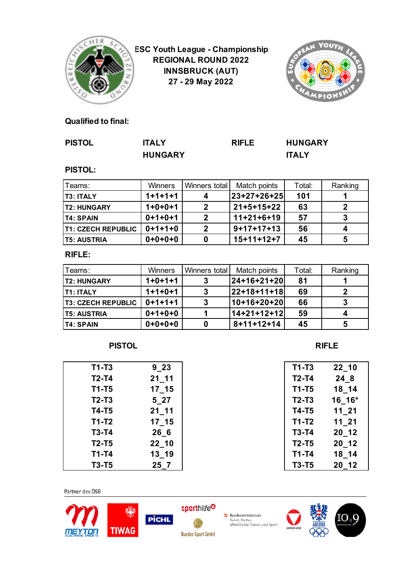

**ESC Youth League - Championship REGIONAL ROUND 2022 INNSBRUCK (AUT) 27 - 29 May 2022**



#### **Qualified to final:**

| <b>PISTOL</b> | <b>ITALY</b>   | <b>RIFLE</b> | <b>HUNGARY</b> |
|---------------|----------------|--------------|----------------|
|               | <b>HUNGARY</b> |              | <b>ITALY</b>   |

#### **PISTOL:**

| Teams:                    | Winners   | Winners total | Match points | Total: | Ranking |
|---------------------------|-----------|---------------|--------------|--------|---------|
| <b>T3: ITALY</b>          | $1+1+1+1$ |               | 23+27+26+25  | 101    |         |
| <b>IT2: HUNGARY</b>       | $1+0+0+1$ | 2             | $21+5+15+22$ | 63     |         |
| IT4: SPAIN                | $0+1+0+1$ | 2             | $11+21+6+19$ | 57     |         |
| <b>T1: CZECH REPUBLIC</b> | $0+1+1+0$ | 2             | $9+17+17+13$ | 56     |         |
| <b>T5: AUSTRIA</b>        | $0+0+0+0$ |               | $15+11+12+7$ | 45     |         |

#### **RIFLE:**

| Teams:                    | Winners   | Winners total | Match points       | Total: | Ranking |
|---------------------------|-----------|---------------|--------------------|--------|---------|
| <b>T2: HUNGARY</b>        | $1+0+1+1$ |               | 24+16+21+20        | 81     |         |
| <b>T1: ITALY</b>          | $1+1+0+1$ | 3             | 22+18+11+18        | 69     |         |
| <b>T3: CZECH REPUBLIC</b> | $0+1+1+1$ | 3             | 10+16+20+20        | 66     |         |
| <b>T5: AUSTRIA</b>        | $0+1+0+0$ |               | 14+21+12+12        | 59     |         |
| <b>T4: SPAIN</b>          | $0+0+0+0$ |               | $8 + 11 + 12 + 14$ | 45     |         |

#### **PISTOL RIFLE**

| $T1-T3$      | $9 - 23$  | $T1-T3$      | $22 - 10$ |
|--------------|-----------|--------------|-----------|
| $T2-T4$      | $21 - 11$ | $T2-T4$      | 24 8      |
| $T1 - T5$    | $17 - 15$ | $T1 - T5$    | 18 14     |
| $T2-T3$      | $5-27$    | $T2-T3$      | $16_16*$  |
| <b>T4-T5</b> | $21 - 11$ | <b>T4-T5</b> | $11_21$   |
| $T1-T2$      | $17 - 15$ | $T1-T2$      | $11_21$   |
| $T3-T4$      | 266       | <b>T3-T4</b> | $20 - 12$ |
| $T2-T5$      | $22 - 10$ | $T2-T5$      | 20 12     |
| $T1-T4$      | $13 - 19$ | $T1-T4$      | 18 14     |
| $T3-T5$      | $25-7$    | <b>T3-T5</b> | $20 - 12$ |

| T1-T3        | 22 10  |
|--------------|--------|
| T2-T4        | 24 8   |
| $T1 - T5$    | 18 14  |
| <b>T2-T3</b> | 16 16* |
| T4-T5        | 11 21  |
| T1-T2        | 11 21  |
| T3-T4        | 20 12  |
| T2-T5        | 20 12  |
| T1-T4        | 18 14  |
| <b>T3-T5</b> | 20 12  |
|              |        |



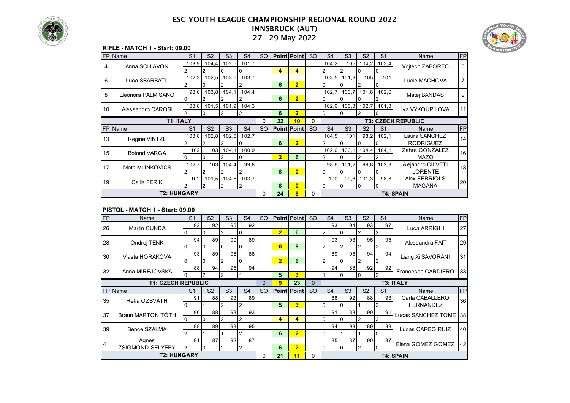



#### **RIFLE - MATCH 1 - Start: 09.00**

|    | FP Name             | S <sub>1</sub> | S <sub>2</sub>   | S <sub>3</sub> | S <sub>4</sub> | <b>SO</b> |                | <b>Point Point SO</b> |           | S <sub>4</sub>            | S <sub>3</sub>   | S <sub>2</sub> | S <sub>1</sub> | Name              | FP |
|----|---------------------|----------------|------------------|----------------|----------------|-----------|----------------|-----------------------|-----------|---------------------------|------------------|----------------|----------------|-------------------|----|
| 4  | Anna SCHIAVON       | 103,9          | 104.4            | 102.5          | 101.7          |           |                |                       |           | 104.2                     | 105              | 104.2          | 103,4          | Voitech ZABOREC   | 5  |
|    |                     |                |                  |                |                |           | 4              | 4                     |           |                           |                  |                |                |                   |    |
| 6  | Luca SBARBATI       | 102,3          | 102,5            | 103,6          | 103,7          |           |                |                       |           | 103,5                     | 101,9            | 105            | 101            | Lucie MACHOVA     |    |
|    |                     |                |                  |                | 2              |           | 6              | $\overline{2}$        |           |                           |                  |                |                |                   |    |
| 8  | Eleonora PALMISANO  | 98,6           | 103.8            | 104,1          | 104,4          |           |                |                       |           | 102,7                     | 103,7            | 101,6          | 102,6          | Matej BANDAS      | 9  |
|    |                     | 10             |                  |                | 2              |           | 6              | $\overline{2}$        |           |                           | 0                |                |                |                   |    |
| 10 | Alessandro CAROSI   | 103,8          | 101.5            | 101,9          | 104,3          |           |                |                       |           | 102,6                     | 100,3            | 102,7          | 101,3          | Iva VYKOUPILOVA   | 11 |
|    |                     |                |                  |                |                |           | 6              | $\overline{2}$        |           |                           |                  |                |                |                   |    |
|    | T1:ITALY            |                |                  |                |                | 0         | 22             | 10                    | 0         | <b>T3: CZECH REPUBLIC</b> |                  |                |                |                   |    |
|    | FP Name             | S <sub>1</sub> | S <sub>2</sub>   | S <sub>3</sub> | S <sub>4</sub> | <b>SO</b> |                | <b>Point Point</b>    | <b>SO</b> | S <sub>4</sub>            | S <sub>3</sub>   | S <sub>2</sub> | S <sub>1</sub> | Name              | FP |
| 13 | Regina VINTZE       | 103,8          | 102,8            | 102,5          | 102,7          |           |                |                       |           | 104,5                     | 101              | 98,2           | 102,1          | Laura SANCHEZ     | 14 |
|    |                     |                |                  |                | ი              |           | 6              | $\overline{2}$        |           |                           |                  |                |                | <b>RODRIGUEZ</b>  |    |
| 15 | <b>Botond VARGA</b> | 102            | 103              | 104.1          | 100.9          |           |                |                       |           | 102,6                     | 103.1            | 104.4          | 104.1          | Zahra GONZALEZ    | 16 |
|    |                     |                |                  |                | 0              |           | $\overline{2}$ | 6                     |           |                           |                  |                |                | <b>MAZO</b>       |    |
| 17 | Mate MLINKOVICS     | 102,7          | 103 <sup>l</sup> | 104,4          | 99.8           |           |                |                       |           |                           | 98,6 101,2       | 99,8           | 102,3          | Alejandro CILVETI | 18 |
|    |                     |                |                  |                | 2              |           | 8              | $\overline{0}$        |           |                           |                  |                |                | <b>LORENTE</b>    |    |
| 19 | Csilla FERIK        | 102            | 101,5            | 104,5          | 103,7          |           |                |                       |           | 100                       | 99,8             | 101,3          | 98,8           | Alex FERRIOLS     | 20 |
|    |                     |                |                  | $\overline{2}$ | 2              |           | 8              | $\mathbf{0}$          |           | $\Omega$                  | 10               | 10             | 0              | <b>MAGANA</b>     |    |
|    | <b>T2: HUNGARY</b>  |                | $\Omega$         | 24             | 8              | $\Omega$  |                |                       |           |                           | <b>T4: SPAIN</b> |                |                |                   |    |

#### **PISTOL - MATCH 1 - Start: 09.00**

| <b>FP</b>       | Name                      | S <sub>1</sub> | S <sub>2</sub> | S <sub>3</sub> | S <sub>4</sub> | <b>SO</b> |                  | <b>Point Point</b> | <sub>SO</sub> | S <sub>4</sub>  | S <sub>3</sub> | S <sub>2</sub> | S <sub>1</sub> | Name                   | <b>FP</b> |
|-----------------|---------------------------|----------------|----------------|----------------|----------------|-----------|------------------|--------------------|---------------|-----------------|----------------|----------------|----------------|------------------------|-----------|
| 26              | Martin CUNDA              | 92             | 92             | 95             | 92             |           |                  |                    |               | 93 <sub>1</sub> | 94             | 93             | 97             | Luca ARRIGHI           | 27        |
|                 |                           |                | $\overline{0}$ | 2              | 10             |           | $\overline{2}$   | 6                  |               | 2               | 0              | $\overline{2}$ | $\overline{2}$ |                        |           |
| 28              | Ondrej TENK               | 94             | 89             | 90             | 89             |           |                  |                    |               | 93              | 93             | 95             | 95             | Alessandra FAIT        | 29        |
|                 |                           |                |                | 0              | ıο             |           | $\overline{0}$   | 8                  |               | 2               |                |                |                |                        |           |
| 30 <sup>1</sup> | Vlasta HORAKOVA           | 93             | 89             | 96             | 88             |           |                  |                    |               | 89              | 95             | 94             | 94             | Liang Xi SAVORANI      | 31        |
|                 |                           |                | 0              | 2              | I٥             |           | $\overline{2}$   | 6                  |               | 2               | $\Omega$       | 2              | $\overline{2}$ |                        |           |
| 32              | Anna MIREJOVSKA           | 88             | 94             | 95             | 94             |           |                  |                    |               | 94              | 88             | 92             | 92             | Francesca CARDIERO     | 33        |
|                 |                           |                |                | $\overline{2}$ |                |           | 5                | 3                  |               |                 | $\Omega$       | 0              | $\overline{2}$ |                        |           |
|                 | <b>T1: CZECH REPUBLIC</b> |                | 0              | 9              | 23             | $\Omega$  | <b>T3: ITALY</b> |                    |               |                 |                |                |                |                        |           |
|                 | FP Name                   | S <sub>1</sub> | S <sub>2</sub> | S <sub>3</sub> | S <sub>4</sub> | <b>SO</b> |                  | <b>Point Point</b> | <sub>SO</sub> | S <sub>4</sub>  | S <sub>3</sub> | S <sub>2</sub> | S <sub>1</sub> | Name                   | <b>FP</b> |
| 35              | Reka OZSVÁTH              | 91             | 88             | 93             |                |           |                  |                    |               |                 |                |                |                |                        |           |
|                 |                           |                |                |                | 89             |           |                  |                    |               | 88              | 92             | 88             | 93             | Carla CABALLERO        |           |
|                 |                           |                |                | 2              |                |           | 5                | 3                  |               | $\Omega$        | l <sub>0</sub> |                |                | <b>FERNANDEZ</b>       | 36        |
|                 |                           | 90             | 88             | 93             | 93             |           |                  |                    |               | 91              | 88             | 90             | 91             |                        |           |
| 37              | Braun MÁRTON TÓTH         |                |                | $\overline{2}$ |                |           | 4                | 4                  |               | $\Omega$        | n              | 2              | $\overline{2}$ | Lucas SANCHEZ TOME 138 |           |
|                 |                           | 98             | 89             | 93             | 95             |           |                  |                    |               | 94              | 93             | 89             | 88             |                        |           |
| 39              | Bence SZALMA              |                |                |                |                |           | 6                | $\overline{2}$     |               | 0               |                |                | 0              | Lucas CARBO RUIZ       | 40        |
|                 | Agnes                     | 91             | 87             | 92             | 87             |           |                  |                    |               | 85              | 87             | 90             | 87             |                        |           |
| 41              | ZSIGMOND-SELYEBY          |                |                | $\overline{2}$ |                |           | 6                | $\overline{2}$     |               | 0               | I٥             | 2              | l O            | Elena GOMEZ GOMEZ      | 42        |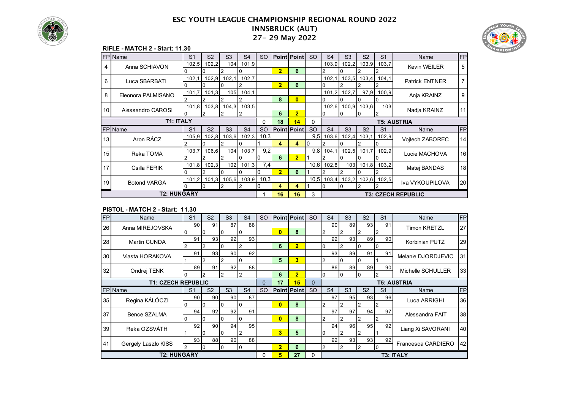



#### **RIFLE - MATCH 2 - Start: 11.30**

|                 | FPIName             | S <sub>1</sub> | S <sub>2</sub> | S <sub>3</sub> | S <sub>4</sub> | <sub>SO</sub> |                | <b>Point Point</b> | SO.              | S <sub>4</sub>     | S <sub>3</sub>            | S <sub>2</sub> | S <sub>1</sub> | Name                  | FP |
|-----------------|---------------------|----------------|----------------|----------------|----------------|---------------|----------------|--------------------|------------------|--------------------|---------------------------|----------------|----------------|-----------------------|----|
| 4               | Anna SCHIAVON       | 102,5          | 102.2          | 104            | 101,9          |               |                |                    |                  | 103,9              | 102.2                     | 103.9          | 103,7          | <b>Kevin WEILER</b>   | 5  |
|                 |                     |                |                |                |                |               | $\overline{2}$ | 6                  |                  |                    |                           |                |                |                       |    |
| 6               | Luca SBARBATI       | 102,1          | 102,9          | 102,1          | 102,7          |               |                |                    |                  | 102,1              | 103,5                     | 103,4          | 104,1          | <b>Patrick ENTNER</b> |    |
|                 |                     |                |                |                |                |               | $\overline{2}$ | 6                  |                  | 10                 |                           |                |                |                       |    |
| 8               | Eleonora PALMISANO  | 101,7          | 101,3          | 105            | 104,1          |               |                |                    |                  | 101,2              | 102,7                     | 97,9           | 100,9          | Anja KRAINZ           | 9  |
|                 |                     | 2              |                |                | 2              |               | 8              | $\bf{0}$           |                  | 10                 |                           | 0              | $^{(1)}$       |                       |    |
| 10 <sup>1</sup> | Alessandro CAROSI   | 101,8          | 103,8          | 104,3          | 103,5          |               |                |                    |                  | 102,6              | 100,9                     | 103,6          | 103            | Nadja KRAINZ          | 11 |
|                 |                     |                |                |                |                |               | 6              | $\overline{2}$     |                  | 10                 |                           |                | $\overline{2}$ |                       |    |
|                 | <b>T1: ITALY</b>    |                |                |                |                |               | 18             | 14                 | 0                | <b>T5: AUSTRIA</b> |                           |                |                |                       |    |
|                 | FP Name             | S <sub>1</sub> | S <sub>2</sub> | S <sub>3</sub> | S <sub>4</sub> | <sub>SO</sub> |                | <b>Point Point</b> | <b>SO</b>        | S <sub>4</sub>     | S <sub>3</sub>            | S <sub>2</sub> | S <sub>1</sub> | Name                  | FP |
| 13              | Aron RÁCZ           | 105,9          | 102,8          | 103,6          | 102,3          | 10,3          |                |                    | 9.5              | 103,6              | 102,4                     | 103,1          | 102,9          | Voitech ZABOREC       | 14 |
|                 |                     |                |                |                |                |               | 4              | 4                  | 0                |                    |                           |                |                |                       |    |
| 15              | Reka TOMA           | 103.7          | 106,6          | 104            | 103.7          | 9.2           |                |                    | 9.8 <sub>l</sub> | 104.1              | 102,5                     | 101.7          | 102,9          | Lucie MACHOVA         | 16 |
|                 |                     |                |                |                |                | 0             | 6              | $\overline{2}$     |                  |                    |                           |                |                |                       |    |
| 17              | Csilla FERIK        | 101,8          | 102,3          | 102            | 101,3          | 7,4           |                |                    |                  | $10,6$ 102,8       | 103                       | 101,8          | 103,2          | Matej BANDAS          | 18 |
|                 |                     |                |                |                |                | $\Omega$      | $\overline{2}$ | 6                  |                  |                    |                           |                |                |                       |    |
| 19              |                     | 101,2          | 101,3          | 105,6          | 103,9          | 10,3          |                |                    | 10,5             | 103,4              | 103,2                     | 102,6          | 102,5          | Iva VYKOUPILOVA       | 20 |
|                 | <b>Botond VARGA</b> |                | 0              |                | 2              | 0             | 4              | 4                  |                  | 10                 | 0                         | 2              | 2              |                       |    |
|                 | <b>T2: HUNGARY</b>  |                |                | 16             | 16             | 3             |                |                    |                  |                    | <b>T3: CZECH REPUBLIC</b> |                |                |                       |    |

#### **PISTOL - MATCH 2 - Start: 11.30**

| <b>FP</b> | Name                      | S <sub>1</sub> | S <sub>2</sub> | S <sub>3</sub> | S <sub>4</sub> | <sub>SO</sub> |                    | <b>Point Point</b> | <b>SO</b> | S <sub>4</sub>                                                               | S <sub>3</sub> | S <sub>2</sub> | S <sub>1</sub> | Name               | FP |
|-----------|---------------------------|----------------|----------------|----------------|----------------|---------------|--------------------|--------------------|-----------|------------------------------------------------------------------------------|----------------|----------------|----------------|--------------------|----|
| 26        | Anna MIREJOVSKA           | 90             | 91             | 87             | 88             |               |                    |                    |           | 90                                                                           | 89             | 93             | 91             | Timon KRETZL       | 27 |
|           |                           | 10             | 0              | 10             | I٥             |               | $\bf{0}$           | 8                  |           | $\overline{2}$                                                               | 2              | 2              | $\overline{2}$ |                    |    |
| 28        | Martin CUNDA              | 91             | 93             | 92             | 93             |               |                    |                    |           | 92                                                                           | 93             | 89             | 90             | Korbinian PUTZ     | 29 |
|           |                           |                |                | I ( )          |                |               | 6                  | $\overline{2}$     |           |                                                                              |                |                | I٥             |                    |    |
| 30        | Vlasta HORAKOVA           | 91             | 93             | 90             | 92             |               |                    |                    |           | 93                                                                           | 89             | 91             | 91             | Melanie DJORDJEVIC | 31 |
|           |                           |                | 2              |                | n              |               | 5                  | 3                  |           | $\overline{2}$                                                               | $\Omega$       | 0              |                |                    |    |
| 32        | Ondrej TENK               | 89             | 91             | 92             | 88             |               |                    |                    |           | 86                                                                           | 89             | 89             | 90             | Michelle SCHULLER  | 33 |
|           |                           |                |                |                |                |               | 6                  | $\overline{2}$     |           | 10                                                                           |                |                |                |                    |    |
|           | <b>T1: CZECH REPUBLIC</b> |                | $\mathbf{0}$   | 17             | 15             | $\mathbf{0}$  | <b>T5: AUSTRIA</b> |                    |           |                                                                              |                |                |                |                    |    |
|           | FP Name                   | S <sub>1</sub> | S <sub>2</sub> | S <sub>3</sub> | S <sub>4</sub> | <b>SO</b>     |                    | <b>Point Point</b> | <b>SO</b> | S <sub>4</sub><br>S <sub>3</sub><br>S <sub>2</sub><br>S <sub>1</sub><br>Name |                |                |                |                    | FP |
| 35        | Regina KÁLÓCZI            | 90             | 90             | 90             | 87             |               |                    |                    |           | 97                                                                           | 95             | 93             | 96             | Luca ARRIGHI       | 36 |
|           |                           | 0              | 0              | 10             | I٥             |               | $\bf{0}$           | 8                  |           | 2                                                                            |                | 2              | $\overline{2}$ |                    |    |
| 37        | Bence SZALMA              | 94             | 92             | 92             | 91             |               |                    |                    |           | 97                                                                           | 97             | 94             | 97             | Alessandra FAIT    | 38 |
|           |                           |                |                | IО             | I٥             |               | $\bf{0}$           | 8                  |           | $\overline{2}$                                                               |                | 2              |                |                    |    |
| 39        | Reka OZSVÁTH              | 92             | 90             | 94             | 95             |               |                    |                    |           | 94                                                                           | 96             | 95             | 92             | Liang Xi SAVORANI  | 40 |
|           |                           |                |                | IО             |                |               | 3                  | 5                  |           | $\Omega$                                                                     |                | 2              |                |                    |    |
| 41        |                           | 93             | 88             | 90             | 88             |               |                    |                    |           | 92                                                                           | 93             | 93             | 92             |                    |    |
|           | Gergely Laszlo KISS       |                |                | 10             | 10             |               | $\overline{2}$     | 6                  |           | 2                                                                            |                | $\overline{2}$ | 0              | Francesca CARDIERO | 42 |
|           | <b>T2: HUNGARY</b>        |                |                |                |                | 0             | 5                  | 27                 | 0         | <b>T3: ITALY</b>                                                             |                |                |                |                    |    |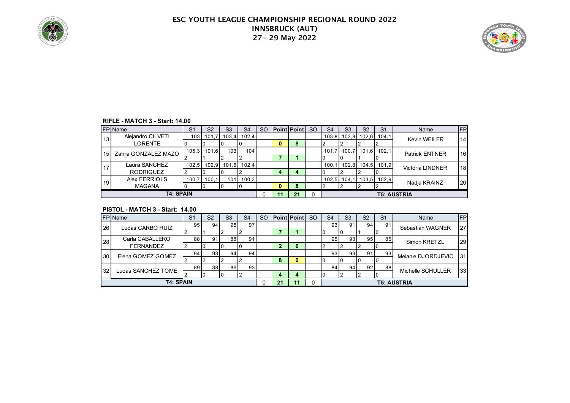



#### **RIFLE - MATCH 3 - Start: 14.00**

|                 | <b>FP</b> Name               | S <sub>1</sub> | S <sub>2</sub> | S <sub>3</sub> | S <sub>4</sub> | <sub>SO</sub> |   | <b>Point Point</b> | <sub>SO</sub> | S <sub>4</sub> | S <sub>3</sub> | S <sub>2</sub> | S <sub>1</sub>    | Name                    | FP              |
|-----------------|------------------------------|----------------|----------------|----------------|----------------|---------------|---|--------------------|---------------|----------------|----------------|----------------|-------------------|-------------------------|-----------------|
| 13              | Alejandro CILVETI<br>LORENTE | 103 I          | 101,           | 103.4          | 102,4          |               | 0 | 8                  |               | 103,8          |                | 103,8 102,6    | 104,1             | <b>Kevin WEILER</b>     | 14 <sup>1</sup> |
|                 |                              |                |                |                |                |               |   |                    |               |                |                |                |                   |                         |                 |
| 15 <sup>1</sup> | Zahra GONZALEZ MAZO          | 105,3          | 101.6          | 103            | 104.           |               |   |                    |               | 101.7          | 100.7          |                | $101,6$ 102,1     | <b>Patrick ENTNER</b>   | 16              |
|                 |                              |                |                |                |                |               |   |                    |               |                |                |                |                   |                         |                 |
|                 | Laura SANCHEZ                | 102,5          | 102,9          | 101,6          | 102,4          |               |   |                    |               | 100.1          |                |                | 102,8 104,5 101,9 | <b>Victoria LINDNER</b> | 18 <sup>l</sup> |
|                 | <b>RODRIGUEZ</b>             |                |                |                |                |               | 4 | 4                  |               |                |                |                |                   |                         |                 |
| 19              | Alex FERRIOLS                | 100.7          | 100,1          | 101            | 100.3          |               |   |                    |               | 102,5          | 104,1          |                | 103,5 102,9       |                         | <b>20</b>       |
|                 | <b>MAGANA</b>                |                |                |                |                |               | 0 | 8                  |               |                |                |                |                   | Nadja KRAINZ            |                 |
|                 | <b>T4: SPAIN</b>             |                |                |                |                |               |   | 21                 |               |                |                |                |                   | <b>T5: AUSTRIA</b>      |                 |

#### **PISTOL - MATCH 3 - Start: 14.00**

|    | <b>FP</b> Name     | S <sub>1</sub> | S <sub>2</sub>  | S <sub>3</sub>  | S <sub>4</sub>  | <b>SO</b> |    | <b>Point Point SO</b> | S <sub>4</sub> | S <sub>3</sub> | S <sub>2</sub> | S <sub>1</sub> | Name               | FP              |
|----|--------------------|----------------|-----------------|-----------------|-----------------|-----------|----|-----------------------|----------------|----------------|----------------|----------------|--------------------|-----------------|
| 26 | Lucas CARBO RUIZ   | 95             | 94              | 95 <sub>1</sub> | 97              |           |    |                       | 93             |                | 94             | 91             | Sebastian WAGNER   | 27              |
|    |                    |                |                 |                 |                 |           |    |                       |                |                |                |                |                    |                 |
| 28 | Carla CABALLERO    | 88             | 91              | 88              | 91              |           |    |                       | 95             | 93             | 95             | 85             | Simon KRETZL       | 29              |
|    | <b>FERNANDEZ</b>   |                |                 |                 |                 |           |    | 6                     |                |                |                |                |                    |                 |
| 30 | Elena GOMEZ GOMEZ  | 94             | 93 <sub>l</sub> | 94              | 94              |           |    |                       | 93             | 93             | 91             | 93             | Melanie DJORDJEVIC | 31              |
|    |                    |                |                 |                 |                 |           | 8  | 0                     |                |                |                |                |                    |                 |
| 32 |                    | 89             | 88              | 86              | 93 <sub>1</sub> |           |    |                       | 84             | 94             | 92             | 88             | Michelle SCHULLER  | 33 <sup>1</sup> |
|    | Lucas SANCHEZ TOME |                |                 |                 |                 |           | 4  | 4                     |                |                |                |                |                    |                 |
|    | <b>T4: SPAIN</b>   |                |                 |                 |                 |           | 21 |                       |                |                |                |                | <b>T5: AUSTRIA</b> |                 |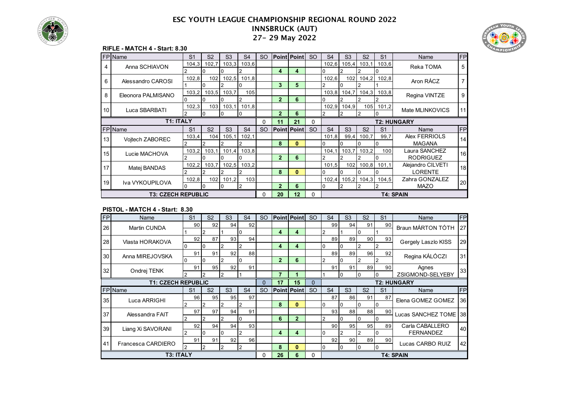



#### **RIFLE - MATCH 4 - Start: 8.30**

|    | <b>FP</b> Name            | S <sub>1</sub> | S <sub>2</sub>   | S <sub>3</sub> | S <sub>4</sub> | <b>SO</b> |                | <b>Point Point</b> | <sub>SO</sub> | S <sub>4</sub> | S <sub>3</sub> | S <sub>2</sub> | S <sub>1</sub> | Name               | <b>FP</b> |
|----|---------------------------|----------------|------------------|----------------|----------------|-----------|----------------|--------------------|---------------|----------------|----------------|----------------|----------------|--------------------|-----------|
| 4  | Anna SCHIAVON             | 104,3          | 102.7            | 103,3          | 103,6          |           |                |                    |               | 102,6          | 105,4          | 103,1          | 103,6          | Reka TOMA          | 5         |
|    |                           |                |                  |                |                |           | 4              | 4                  |               |                |                |                |                |                    |           |
| 6  | Alessandro CAROSI         | 102,8          | 102              | 102,5          | 101,8          |           |                |                    |               | 102,6          | 102            | 104,2          | 102,8          | Aron RÁCZ          |           |
|    |                           |                |                  |                | 0              |           | 3              | 5                  |               |                |                |                |                |                    |           |
| 8  | Eleonora PALMISANO        | 103,2          | 103,5            | 103,7          | 105            |           |                |                    |               | 103,8          | 104,7          | 104,3          | 103,8          | Regina VINTZE      | 9         |
|    |                           |                |                  |                |                |           | $\overline{2}$ | 6                  |               |                |                |                |                |                    |           |
| 10 | Luca SBARBATI             | 102,3          | 103 <sup>l</sup> | 103,1          | 101,8          |           |                |                    |               | 102,9          | 104,9          |                | 105 101,2      | Mate MLINKOVICS    | 11        |
|    |                           |                | 0                | 0              | I0             |           | $\mathbf{2}$   | 6                  |               |                | $\overline{2}$ | $\overline{2}$ |                |                    |           |
|    | <b>T1: ITALY</b>          |                |                  |                |                | 0         | 11             | 21                 | $\Omega$      |                |                |                |                | <b>T2: HUNGARY</b> |           |
|    | FPIName                   | S <sub>1</sub> | S <sub>2</sub>   | S <sub>3</sub> | S <sub>4</sub> | <b>SO</b> |                | <b>Point Point</b> | <b>SO</b>     | S <sub>4</sub> | S <sub>3</sub> | S <sub>2</sub> | S <sub>1</sub> | Name               | <b>FP</b> |
| 13 | Voitech ZABOREC           | 103,4          | 104              | 105,1          | 102,1          |           |                |                    |               | 101,8          | 99,4           | 100,7          | 99,7           | Alex FERRIOLS      | 14        |
|    |                           |                |                  |                |                |           | 8              | $\bf{0}$           |               |                |                |                |                | <b>MAGANA</b>      |           |
| 15 | Lucie MACHOVA             | 103,2          | 103.1            | 101,4          | 103,8          |           |                |                    |               | 104,1          | 103,7          | 103.2          | 100            | Laura SANCHEZ      | 16        |
|    |                           |                |                  |                |                |           | $\overline{2}$ | 6                  |               |                |                |                |                | <b>RODRIGUEZ</b>   |           |
| 17 | Matej BANDAS              | 102,2          | 103.7            | 102,5          | 103,2          |           |                |                    |               | 101,5          | 102            | 100,8          | 101.1          | Alejandro CILVETI  | 18        |
|    |                           |                |                  |                |                |           | 8              | $\bf{0}$           |               |                |                |                |                | LORENTE            |           |
| 19 | Iva VYKOUPILOVA           | 102,8          | 102              | 101,2          | 103            |           |                |                    |               | 102,4          | 105,2          | 104,3          | 104,5          | Zahra GONZALEZ     | 20        |
|    |                           |                | 0                | 0              | 2              |           | $\overline{2}$ | 6                  |               | 0              | $\overline{2}$ | 2              |                | <b>MAZO</b>        |           |
|    | <b>T3: CZECH REPUBLIC</b> |                |                  |                |                | 0         | 20             | 12                 | $\Omega$      |                |                |                |                | <b>T4: SPAIN</b>   |           |

#### **PISTOL - MATCH 4 - Start: 8.30**

| FPI | Name                      | S <sub>1</sub> | S <sub>2</sub>  | S <sub>3</sub> | S <sub>4</sub> | <sub>SO</sub> |                | <b>Point Point</b> | <sub>SO</sub> | S <sub>4</sub>  | S <sub>3</sub> | S <sub>2</sub> | S <sub>1</sub> | Name                | FP              |
|-----|---------------------------|----------------|-----------------|----------------|----------------|---------------|----------------|--------------------|---------------|-----------------|----------------|----------------|----------------|---------------------|-----------------|
| 26  | Martin CUNDA              | 90             | 92              | 94             | 92             |               |                |                    |               | 99              | 94             | 91             | 90             | Braun MÁRTON TÓTH   | 27              |
|     |                           |                |                 |                | 0              |               | 4              | 4                  |               | 2               |                | 0              |                |                     |                 |
| 28  | Vlasta HORAKOVA           | 92             | 87              | 93             | 94             |               |                |                    |               | 89              | 89             | 90             | 93             | Gergely Laszlo KISS | 29              |
|     |                           |                |                 |                | 2              |               | 4              | 4                  |               | 0               |                |                |                |                     |                 |
| 30  | Anna MIREJOVSKA           | 91             | 91              | 92             | 88             |               |                |                    |               | 89              | 89             | 96             | 92             | Regina KÁLÓCZI      | 31              |
|     |                           |                | $\Omega$        | 2              | 0              |               | $\overline{2}$ | 6                  |               | 2               | 0              | 2              | $\overline{2}$ |                     |                 |
| 32  | Ondrej TENK               | 91             | 95 <sub>1</sub> | 92             | 91             |               |                |                    |               | 91              | 91             | 89             | 90             | Agnes               | 33              |
|     |                           |                |                 |                |                |               | $\overline{7}$ | 1                  |               |                 |                | 0              |                | ZSIGMOND-SELYEBY    |                 |
|     | <b>T1: CZECH REPUBLIC</b> |                |                 |                |                | 0             | 17             | 15                 | 0             |                 |                |                |                | <b>T2: HUNGARY</b>  |                 |
|     | FP Name                   | S <sub>1</sub> | S <sub>2</sub>  | S <sub>3</sub> | S <sub>4</sub> | <sub>SO</sub> |                | <b>Point Point</b> | <sub>SO</sub> | S <sub>4</sub>  | S <sub>3</sub> | S <sub>2</sub> | S <sub>1</sub> | Name                | FP              |
| 35  | Luca ARRIGHI              | 96             | 95              | 95             | 97             |               |                |                    |               | 87              | 86             | 91             | 87             | Elena GOMEZ GOMEZ   | 36 <sup>l</sup> |
|     |                           |                |                 | 2              | 2              |               | 8              | $\bf{0}$           |               | $\overline{0}$  | I٥             | 0              | I٥             |                     |                 |
| 37  | Alessandra FAIT           | 97             | 97              | 94             | 91             |               |                |                    |               | 93 <sub>1</sub> | 88             | 88             | 90             | Lucas SANCHEZ TOME  | 38              |
|     |                           |                |                 |                | 0              |               | 6              | $\overline{2}$     |               | 2               | 10             | 0              |                |                     |                 |
| 39  | Liang Xi SAVORANI         | 92             | 94              | 94             | 93             |               |                |                    |               | 90 <sup>1</sup> | 95             | 95             | 89             | Carla CABALLERO     | 40              |
|     |                           |                |                 | 0              | 2              |               | 4              | 4                  |               | 0               |                |                |                | <b>FERNANDEZ</b>    |                 |
|     |                           |                |                 |                |                |               |                |                    |               |                 |                |                |                |                     |                 |
|     |                           | 91             | 91              | 92             | 96             |               |                |                    |               | 92              | 90             | 89             | 90             |                     |                 |
| 41  | Francesca CARDIERO        |                |                 |                | 2              |               | 8              | $\bf{0}$           |               | 0               |                |                |                | Lucas CARBO RUIZ    | 42              |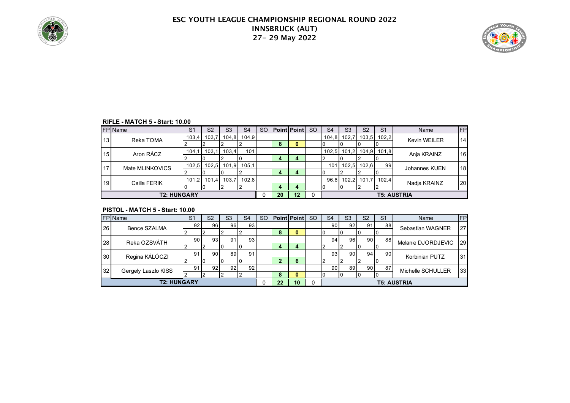



#### **RIFLE - MATCH 5 - Start: 10.00**

|    | <b>FP</b> Name     | S <sub>1</sub> | S <sub>2</sub> | S <sub>3</sub> | S <sub>4</sub> | <sub>SO</sub> |    | Point Point SO | S <sub>4</sub> | S <sub>3</sub> | S <sub>2</sub> | S <sub>1</sub> | Name               | <b>FP</b>       |
|----|--------------------|----------------|----------------|----------------|----------------|---------------|----|----------------|----------------|----------------|----------------|----------------|--------------------|-----------------|
| 13 | Reka TOMA          | 103,4          | 103,7          | 104,8          | 104,9          |               |    |                |                | 104,8 102,7    | 103,5          | 102,2          | Kevin WEILER       | 14              |
|    |                    |                |                |                |                |               | 8  | 0              |                |                |                |                |                    |                 |
| 15 | Aron RÁCZ          | 104,1          | 103.1          | 103.4          | 101            |               |    |                |                | $102,5$ 101,2  |                | 104,9 101,8    | Anja KRAINZ        | 16              |
|    |                    |                |                |                |                |               | 4  | 4              |                |                |                |                |                    |                 |
| 17 | Mate MLINKOVICS    | 102,5          | 102,5          | 101,9          | 105.1          |               |    |                | 101            | 102,5          | 102,6          | 99             | Johannes KUEN      | 18 <sup>l</sup> |
|    |                    |                |                |                |                |               | 4  | 4              |                |                |                |                |                    |                 |
| 19 | Csilla FERIK       |                | 101,2 101,4    | 103.7          | 102,8          |               |    |                |                | 96,6 102,2     | 101.7          | 102,4          |                    | 20              |
|    |                    |                |                |                |                |               | 4  | 4              |                |                |                |                | Nadja KRAINZ       |                 |
|    | <b>T2: HUNGARY</b> |                |                |                |                |               | 20 | 12             |                |                |                |                | <b>T5: AUSTRIA</b> |                 |

#### **PISTOL - MATCH 5 - Start: 10.00**

|    | <b>FP</b> IName     | S <sub>1</sub>  | S <sub>2</sub>  | S <sub>3</sub> | S <sub>4</sub>  | <b>SO</b> |    | <b>Point Point</b> | <sub>SO</sub> | S <sub>4</sub>  | S <sub>3</sub>  | S <sub>2</sub>  | S <sub>1</sub> | Name               | FP |
|----|---------------------|-----------------|-----------------|----------------|-----------------|-----------|----|--------------------|---------------|-----------------|-----------------|-----------------|----------------|--------------------|----|
| 26 | Bence SZALMA        | 92              | 96 I            | 96 I           | 93              |           |    |                    |               | 90 <sup>1</sup> | 92 <sub>1</sub> | 91              | 88             | Sebastian WAGNER   | 27 |
|    |                     |                 |                 |                |                 |           | 8  |                    |               |                 |                 |                 |                |                    |    |
| 28 | Reka OZSVÁTH        | 90 <sub>1</sub> | 931             | 91             | 93 <sub>l</sub> |           |    |                    |               | 94              | 96              | 90 <sup>°</sup> | 88             | Melanie DJORDJEVIC | 29 |
|    |                     |                 |                 |                |                 |           | 4  | 4                  |               |                 |                 |                 |                |                    |    |
| 30 | Regina KÁLÓCZI      | 91              | 90 <sup>1</sup> | 89             | 91              |           |    |                    |               | 93 <sub>l</sub> | 90              | 94              | 90             | Korbinian PUTZ     | 31 |
|    |                     |                 |                 |                |                 |           | 2  | 6                  |               |                 |                 |                 |                |                    |    |
| 32 | Gergely Laszlo KISS | 91              | 92 <sub>1</sub> | 921            | 92              |           |    |                    |               | 90 <sup>1</sup> | 89              | 90.             | 87             | Michelle SCHULLER  | 33 |
|    |                     |                 |                 |                |                 |           | 8  |                    |               |                 |                 |                 |                |                    |    |
|    | <b>T2: HUNGARY</b>  |                 |                 |                |                 |           | 22 | 10                 |               |                 |                 |                 |                | <b>T5: AUSTRIA</b> |    |